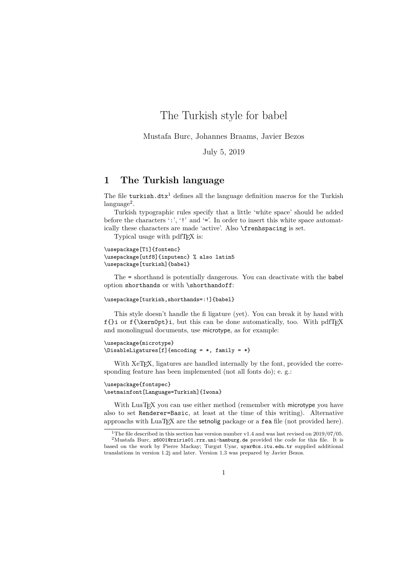The Turkish style for babel

Mustafa Burc, Johannes Braams, Javier Bezos

July 5, 2019

## **1 The Turkish language**

The file turkish.dtx<sup>1</sup> defines all the language definition macros for the Turkish language<sup>2</sup>.

Turkish typographic rules specify that a little 'white space' should be added before the characters ':', '!' and '='. In order to insert this white space automatically these characters are made 'active'. Also \frenhspacing is set.

Typical usage with pdfT<sub>F</sub>X is:

```
\usepackage[T1]{fontenc}
\usepackage[utf8]{inputenc} % also latin5
\usepackage[turkish]{babel}
```
The = shorthand is potentially dangerous. You can deactivate with the babel option shorthands or with \shorthandoff:

```
\usepackage[turkish,shorthands=:!]{babel}
```
This style doesn't handle the fi ligature (yet). You can break it by hand with  $f\{i$  or  $f\{\ker\neg\negthinspace\negthinspace\negthinspace\nexists\}$ , but this can be done automatically, too. With pdfTEX and monolingual documents, use microtype, as for example:

```
\usepackage{microtype}
\DisableLigatures[f]{encoding = *, family = *}
```
With XeT<sub>E</sub>X, ligatures are handled internally by the font, provided the corresponding feature has been implemented (not all fonts do); e. g.:

```
\usepackage{fontspec}
\setmainfont[Language=Turkish]{Iwona}
```
With LuaT<sub>E</sub>X you can use either method (remember with microtype you have also to set Renderer=Basic, at least at the time of this writing). Alternative approachs with  $\text{Luaff}X$  are the setnolig package or a fea file (not provided here).

<sup>&</sup>lt;sup>1</sup>The file described in this section has version number v1.4 and was last revised on  $2019/07/05$ .

<sup>&</sup>lt;sup>2</sup>Mustafa Burc, z6001@rziris01.rrz.uni-hamburg.de provided the code for this file. It is based on the work by Pierre Mackay; Turgut Uyar, uyar@cs.itu.edu.tr supplied additional translations in version 1.2j and later. Version 1.3 was prepared by Javier Bezos.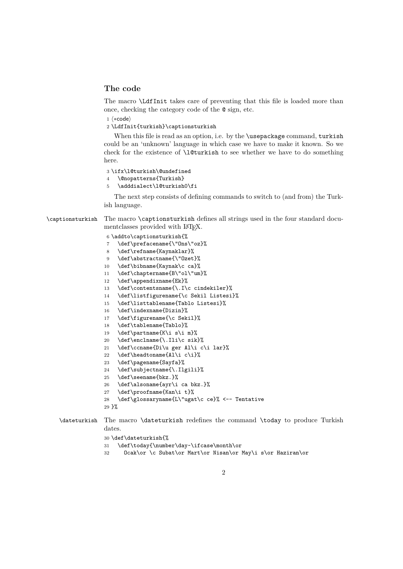## **The code**

The macro \LdfInit takes care of preventing that this file is loaded more than once, checking the category code of the @ sign, etc.

1  $\langle *code \rangle$ 

\LdfInit{turkish}\captionsturkish

When this file is read as an option, i.e. by the *\usepackage command*, turkish could be an 'unknown' language in which case we have to make it known. So we check for the existence of \l@turkish to see whether we have to do something here.

\ifx\l@turkish\@undefined

- \@nopatterns{Turkish}
- \adddialect\l@turkish0\fi

The next step consists of defining commands to switch to (and from) the Turkish language.

\captionsturkish The macro \captionsturkish defines all strings used in the four standard documentclasses provided with LAT<sub>EX</sub>.

\addto\captionsturkish{%

- \def\prefacename{\"Ons\"oz}%
- \def\refname{Kaynaklar}%
- \def\abstractname{\"Ozet}%
- \def\bibname{Kaynak\c ca}%
- \def\chaptername{B\"ol\"um}%
- \def\appendixname{Ek}%
- \def\contentsname{\.I\c cindekiler}%
- \def\listfigurename{\c Sekil Listesi}%
- \def\listtablename{Tablo Listesi}%
- \def\indexname{Dizin}%
- \def\figurename{\c Sekil}%
- \def\tablename{Tablo}%
- 19 \def\partname{K\i s\i m}%
- \def\enclname{\.Ili\c sik}%
- \def\ccname{Di\u ger Al\i c\i lar}%
- 22 \def\headtoname{Al\i c\i}%
- \def\pagename{Sayfa}%
- \def\subjectname{\.Ilgili}%
- \def\seename{bkz.}%
- \def\alsoname{ayr\i ca bkz.}%
- \def\proofname{Kan\i t}%
- \def\glossaryname{L\"ugat\c ce}% <-- Tentative
- }%

\dateturkish The macro \dateturkish redefines the command \today to produce Turkish dates.

## \def\dateturkish{%

- \def\today{\number\day~\ifcase\month\or
- Ocak\or \c Subat\or Mart\or Nisan\or May\i s\or Haziran\or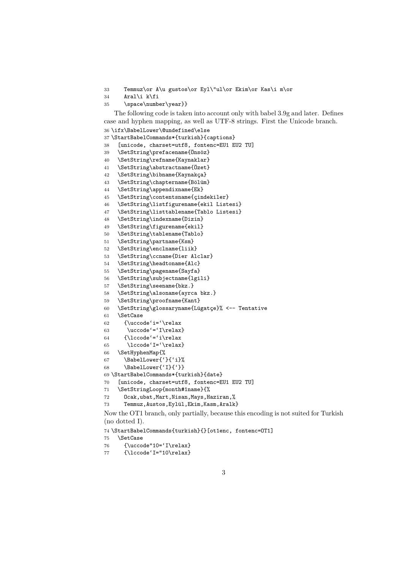Temmuz\or A\u gustos\or Eyl\"ul\or Ekim\or Kas\i m\or

- Aral\i k\fi
- \space\number\year}}

The following code is taken into account only with babel 3.9g and later. Defines case and hyphen mapping, as well as UTF-8 strings. First the Unicode branch.

```
36 \ifx\BabelLower\@undefined\else
37 \StartBabelCommands*{turkish}{captions}
38 [unicode, charset=utf8, fontenc=EU1 EU2 TU]
39 \SetString\prefacename{Önsöz}
40 \SetString\refname{Kaynaklar}
41 \SetString\abstractname{Özet}
42 \SetString\bibname{Kaynakça}
43 \SetString\chaptername{Bölüm}
44 \SetString\appendixname{Ek}
45 \SetString\contentsname{çindekiler}
46 \SetString\listfigurename{ekil Listesi}
47 \SetString\listtablename{Tablo Listesi}
48 \SetString\indexname{Dizin}
49 \SetString\figurename{ekil}
50 \SetString\tablename{Tablo}
51 \SetString\partname{Ksm}
52 \SetString\enclname{liik}
53 \SetString\ccname{Dier Alclar}
54 \SetString\headtoname{Alc}
55 \SetString\pagename{Sayfa}
56 \SetString\subjectname{lgili}
57 \SetString\seename{bkz.}
58 \SetString\alsoname{ayrca bkz.}
59 \SetString\proofname{Kant}
60 \SetString\glossaryname{Lügatçe}% <-- Tentative
61 \SetCase
62 {\uccode'i='\relax
63 \qquad \text{uccode}' = 'I\relax64 {\lccode'='i\relax
65 \lccode'I='\relax}
66 \SetHyphenMap{%
67 \BabelLower{'}{'i}%
68 \BabelLower{'I}{'}}
69 \StartBabelCommands*{turkish}{date}
70 [unicode, charset=utf8, fontenc=EU1 EU2 TU]
71 \SetStringLoop{month#1name}{%
72 Ocak,ubat,Mart,Nisan,Mays,Haziran,%
73 Temmuz,Austos,Eylül,Ekim,Kasm,Aralk}
Now the OT1 branch, only partially, because this encoding is not suited for Turkish
(no dotted I).
```
\StartBabelCommands{turkish}{}[ot1enc, fontenc=OT1]

\SetCase

```
76 {\uccode"10='I\relax}
```

```
77 {\lccode'I="10\relax}
```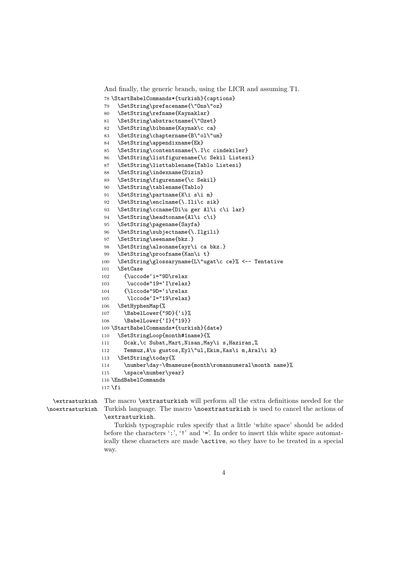```
And finally, the generic branch, using the LICR and assuming T1.
78 \StartBabelCommands*{turkish}{captions}
79 \SetString\prefacename{\"Ons\"oz}
80 \SetString\refname{Kaynaklar}
81 \SetString\abstractname{\"Ozet}
82 \SetString\bibname{Kaynak\c ca}
83 \SetString\chaptername{B\"ol\"um}
84 \SetString\appendixname{Ek}
85 \SetString\contentsname{\.I\c cindekiler}
86 \SetString\listfigurename{\c Sekil Listesi}
87 \SetString\listtablename{Tablo Listesi}
88 \SetString\indexname{Dizin}
89 \SetString\figurename{\c Sekil}
90 \SetString\tablename{Tablo}
91 \SetString\partname{K\i s\i m}
92 \SetString\enclname{\.Ili\c sik}
93 \SetString\ccname{Di\u ger Al\i c\i lar}
94 \SetString\headtoname{Al\i c\i}
95 \SetString\pagename{Sayfa}
96 \SetString\subjectname{\.Ilgili}
97 \SetString\seename{bkz.}
98 \SetString\alsoname{ayr\i ca bkz.}
99 \SetString\proofname{Kan\i t}
100 \SetString\glossaryname{L\"ugat\c ce}% <-- Tentative
101 \SetCase
102 {\uccode'i="9D\relax
103 \uccode"19='I\relax}
104 {\lccode"9D='i\relax
105 \lccode'I="19\relax}
106 \SetHyphenMap{%
107 \BabelLower{"9D}{'i}%
108 \BabelLower{'I}{"19}}
109 \StartBabelCommands*{turkish}{date}
110 \SetStringLoop{month#1name}{%
111 Ocak,\c Subat,Mart,Nisan,May\i s,Haziran,%
112 Temmuz, A\u gustos, Eyl\"ul, Ekim, Kas\i m, Aral\i k}
113 \SetString\today{%
114 \number\day~\@nameuse{month\romannumeral\month name}%
115 \space\number\year}
116 \EndBabelCommands
117 \fi
```
\extrasturkish The macro \extrasturkish will perform all the extra definitions needed for the \noextrasturkish Turkish language. The macro \noextrasturkish is used to cancel the actions of \extrasturkish.

> Turkish typographic rules specify that a little 'white space' should be added before the characters  $\cdot$ :',  $\cdot$ !' and  $\cdot$ ='. In order to insert this white space automatically these characters are made \active, so they have to be treated in a special way.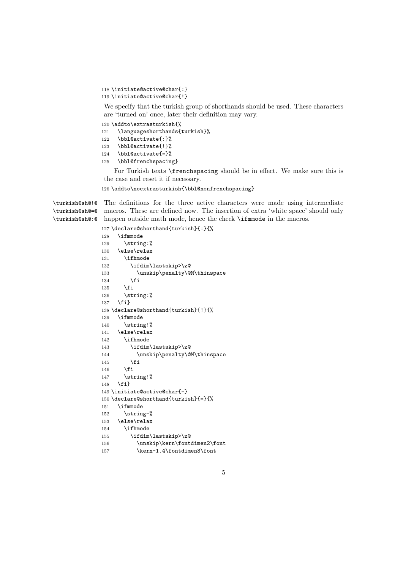```
118 \initiate@active@char{:}
119 \initiate@active@char{!}
```
We specify that the turkish group of shorthands should be used. These characters are 'turned on' once, later their definition may vary.

\addto\extrasturkish{%

\languageshorthands{turkish}%

- \bbl@activate{:}%
- \bbl@activate{!}%
- \bbl@activate{=}%
- 125 \bbl@frenchspacing}

For Turkish texts \frenchspacing should be in effect. We make sure this is the case and reset it if necessary.

\addto\noextrasturkish{\bbl@nonfrenchspacing}

\turkish@sh@!@ The definitions for the three active characters were made using intermediate \turkish@sh@=@ macros. These are defined now. The insertion of extra 'white space' should only \turkish@sh@:@ happen outside math mode, hence the check \ifmmode in the macros.

```
127 \declare@shorthand{turkish}{:}{%
128 \ifmmode
129 \string:%
130 \else\relax
131 \ifhmode
132 \ifdim\lastskip>\z@
133 \unskip\penalty\@M\thinspace
134 \fi
135 \fi
136 \string:%
137 \fi}
138 \declare@shorthand{turkish}{!}{%
139 \ifmmode
140 \string!%
141 \else\relax
142 \ifhmode
143 \ifdim\lastskip>\z@
144 \unskip\penalty\@M\thinspace
145 \fi
146 \fi
147 \string!%
148 \fi}
149 \initiate@active@char{=}
150 \declare@shorthand{turkish}{=}{%
151 \ifmmode
152 \string=%
153 \else\relax
154 \ifhmode
155 \ifdim\lastskip>\z@
156 \unskip\kern\fontdimen2\font
157 \kern-1.4\fontdimen3\font
```